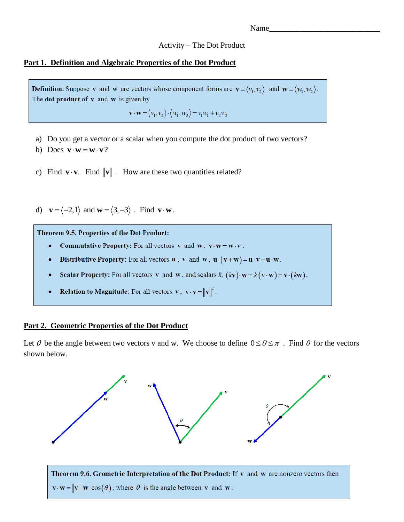## Activity – The Dot Product

## **Part 1. Definition and Algebraic Properties of the Dot Product**

**Definition.** Suppose v and w are vectors whose component forms are  $\mathbf{v} = \langle v_1, v_2 \rangle$  and  $\mathbf{w} = \langle w_1, w_2 \rangle$ . The dot product of  $v$  and  $w$  is given by

 $\mathbf{v} \cdot \mathbf{w} = \langle v_1, v_2 \rangle \cdot \langle w_1, w_2 \rangle = v_1 w_1 + v_2 w_2$ 

- a) Do you get a vector or a scalar when you compute the dot product of two vectors?
- b) Does  $\mathbf{v} \cdot \mathbf{w} = \mathbf{w} \cdot \mathbf{v}$ ?
- c) Find  $\mathbf{v} \cdot \mathbf{v}$ . Find  $\|\mathbf{v}\|$ . How are these two quantities related?

d)  $\mathbf{v} = \langle -2, 1 \rangle$  and  $\mathbf{w} = \langle 3, -3 \rangle$ . Find  $\mathbf{v} \cdot \mathbf{w}$ .

Theorem 9.5. Properties of the Dot Product:

- **Commutative Property:** For all vectors v and w,  $v \cdot w = w \cdot v$ .
- **Distributive Property:** For all vectors  $\mathbf{u}$ ,  $\mathbf{v}$  and  $\mathbf{w}$ ,  $\mathbf{u} \cdot (\mathbf{v} + \mathbf{w}) = \mathbf{u} \cdot \mathbf{v} + \mathbf{u} \cdot \mathbf{w}$ .
- **Scalar Property:** For all vectors **v** and **w**, and scalars  $k$ ,  $(kv) \cdot w = k(v \cdot w) = v \cdot (kw)$ .
- **Relation to Magnitude:** For all vectors **v**,  $\mathbf{v} \cdot \mathbf{v} = ||\mathbf{v}||^2$ .

## **Part 2. Geometric Properties of the Dot Product**

Let  $\theta$  be the angle between two vectors v and w. We choose to define  $0 \le \theta \le \pi$ . Find  $\theta$  for the vectors shown below.

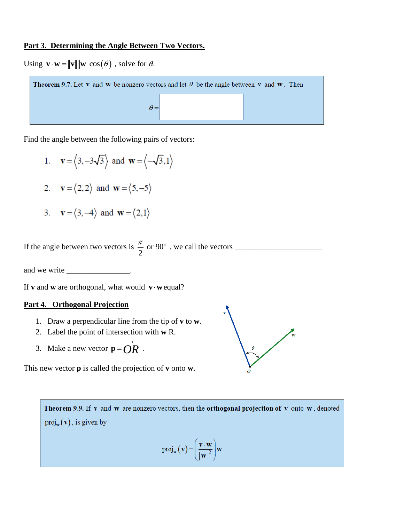# **Part 3. Determining the Angle Between Two Vectors.**

Using  $\mathbf{v} \cdot \mathbf{w} = ||\mathbf{v}|| \cdot ||\mathbf{w}|| \cos(\theta)$ , solve for  $\theta$ .



Find the angle between the following pairs of vectors:

- 1.  $\mathbf{v} = \langle 3, -3\sqrt{3} \rangle$  and  $\mathbf{w} = \langle -\sqrt{3}, 1 \rangle$
- 2.  $\mathbf{v} = \langle 2, 2 \rangle$  and  $\mathbf{w} = \langle 5, -5 \rangle$
- 3.  $\mathbf{v} = \langle 3, -4 \rangle$  and  $\mathbf{w} = \langle 2, 1 \rangle$

If the angle between two vectors is  $\frac{\pi}{2}$  or 90 2 , we call the vectors \_\_\_\_\_\_\_\_\_\_\_\_\_\_\_\_\_\_\_\_\_\_

and we write \_\_\_\_\_\_\_\_\_\_\_\_\_\_\_\_\_\_\_\_\_\_\_\_.

If **v** and **w** are orthogonal, what would  $\mathbf{v} \cdot \mathbf{w}$  equal?

### **Part 4. Orthogonal Projection**

- 1. Draw a perpendicular line from the tip of **v** to **w**.
- 2. Label the point of intersection with **w** R.
- 3. Make a new vector  $\mathbf{p} = \overrightarrow{OR}$ .

This new vector **p** is called the projection of **v** onto **w**.



Theorem 9.9. If y and w are nonzero vectors, then the orthogonal projection of y onto w, denoted  $proj_w(v)$ , is given by  $proj_{w}(v) = \left(\frac{v \cdot w}{\|w\|^2}\right) w$